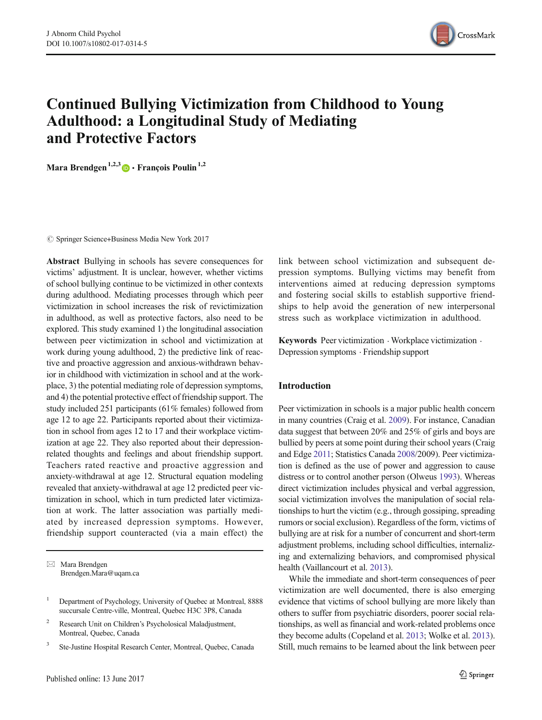

# Continued Bullying Victimization from Childhood to Young Adulthood: a Longitudinal Study of Mediating and Protective Factors

Mara Brendgen<sup>1,2,3</sup>  $\bullet$  François Poulin<sup>1,2</sup>

 $\circled{c}$  Springer Science+Business Media New York 2017

Abstract Bullying in schools has severe consequences for victims' adjustment. It is unclear, however, whether victims of school bullying continue to be victimized in other contexts during adulthood. Mediating processes through which peer victimization in school increases the risk of revictimization in adulthood, as well as protective factors, also need to be explored. This study examined 1) the longitudinal association between peer victimization in school and victimization at work during young adulthood, 2) the predictive link of reactive and proactive aggression and anxious-withdrawn behavior in childhood with victimization in school and at the workplace, 3) the potential mediating role of depression symptoms, and 4) the potential protective effect of friendship support. The study included 251 participants (61% females) followed from age 12 to age 22. Participants reported about their victimization in school from ages 12 to 17 and their workplace victimization at age 22. They also reported about their depressionrelated thoughts and feelings and about friendship support. Teachers rated reactive and proactive aggression and anxiety-withdrawal at age 12. Structural equation modeling revealed that anxiety-withdrawal at age 12 predicted peer victimization in school, which in turn predicted later victimization at work. The latter association was partially mediated by increased depression symptoms. However, friendship support counteracted (via a main effect) the

 $\boxtimes$  Mara Brendgen Brendgen.Mara@uqam.ca

- <sup>2</sup> Research Unit on Children's Psycholosical Maladjustment, Montreal, Quebec, Canada
- <sup>3</sup> Ste-Justine Hospital Research Center, Montreal, Quebec, Canada

link between school victimization and subsequent depression symptoms. Bullying victims may benefit from interventions aimed at reducing depression symptoms and fostering social skills to establish supportive friendships to help avoid the generation of new interpersonal stress such as workplace victimization in adulthood.

Keywords Peer victimization  $\cdot$  Workplace victimization  $\cdot$ Depression symptoms . Friendship support

# Introduction

Peer victimization in schools is a major public health concern in many countries (Craig et al. 2009). For instance, Canadian data suggest that between 20% and 25% of girls and boys are bullied by peers at some point during their school years (Craig and Edge 2011; Statistics Canada 2008/2009). Peer victimization is defined as the use of power and aggression to cause distress or to control another person (Olweus 1993). Whereas direct victimization includes physical and verbal aggression, social victimization involves the manipulation of social relationships to hurt the victim (e.g., through gossiping, spreading rumors or social exclusion). Regardless of the form, victims of bullying are at risk for a number of concurrent and short-term adjustment problems, including school difficulties, internalizing and externalizing behaviors, and compromised physical health (Vaillancourt et al. 2013).

While the immediate and short-term consequences of peer victimization are well documented, there is also emerging evidence that victims of school bullying are more likely than others to suffer from psychiatric disorders, poorer social relationships, as well as financial and work-related problems once they become adults (Copeland et al. 2013; Wolke et al. 2013). Still, much remains to be learned about the link between peer

<sup>&</sup>lt;sup>1</sup> Department of Psychology, University of Quebec at Montreal, 8888 succursale Centre-ville, Montreal, Quebec H3C 3P8, Canada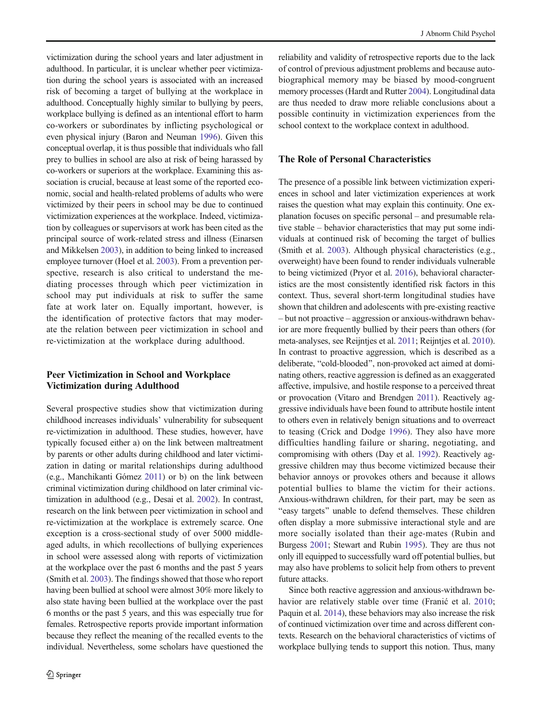victimization during the school years and later adjustment in adulthood. In particular, it is unclear whether peer victimization during the school years is associated with an increased risk of becoming a target of bullying at the workplace in adulthood. Conceptually highly similar to bullying by peers, workplace bullying is defined as an intentional effort to harm co-workers or subordinates by inflicting psychological or even physical injury (Baron and Neuman 1996). Given this conceptual overlap, it is thus possible that individuals who fall prey to bullies in school are also at risk of being harassed by co-workers or superiors at the workplace. Examining this association is crucial, because at least some of the reported economic, social and health-related problems of adults who were victimized by their peers in school may be due to continued victimization experiences at the workplace. Indeed, victimization by colleagues or supervisors at work has been cited as the principal source of work-related stress and illness (Einarsen and Mikkelsen 2003), in addition to being linked to increased employee turnover (Hoel et al. 2003). From a prevention perspective, research is also critical to understand the mediating processes through which peer victimization in school may put individuals at risk to suffer the same fate at work later on. Equally important, however, is the identification of protective factors that may moderate the relation between peer victimization in school and re-victimization at the workplace during adulthood.

# Peer Victimization in School and Workplace Victimization during Adulthood

Several prospective studies show that victimization during childhood increases individuals' vulnerability for subsequent re-victimization in adulthood. These studies, however, have typically focused either a) on the link between maltreatment by parents or other adults during childhood and later victimization in dating or marital relationships during adulthood (e.g., Manchikanti Gómez 2011) or b) on the link between criminal victimization during childhood on later criminal victimization in adulthood (e.g., Desai et al. 2002). In contrast, research on the link between peer victimization in school and re-victimization at the workplace is extremely scarce. One exception is a cross-sectional study of over 5000 middleaged adults, in which recollections of bullying experiences in school were assessed along with reports of victimization at the workplace over the past 6 months and the past 5 years (Smith et al. 2003). The findings showed that those who report having been bullied at school were almost 30% more likely to also state having been bullied at the workplace over the past 6 months or the past 5 years, and this was especially true for females. Retrospective reports provide important information because they reflect the meaning of the recalled events to the individual. Nevertheless, some scholars have questioned the

reliability and validity of retrospective reports due to the lack of control of previous adjustment problems and because autobiographical memory may be biased by mood-congruent memory processes (Hardt and Rutter 2004). Longitudinal data are thus needed to draw more reliable conclusions about a possible continuity in victimization experiences from the school context to the workplace context in adulthood.

# The Role of Personal Characteristics

The presence of a possible link between victimization experiences in school and later victimization experiences at work raises the question what may explain this continuity. One explanation focuses on specific personal – and presumable relative stable – behavior characteristics that may put some individuals at continued risk of becoming the target of bullies (Smith et al. 2003). Although physical characteristics (e.g., overweight) have been found to render individuals vulnerable to being victimized (Pryor et al. 2016), behavioral characteristics are the most consistently identified risk factors in this context. Thus, several short-term longitudinal studies have shown that children and adolescents with pre-existing reactive – but not proactive – aggression or anxious-withdrawn behavior are more frequently bullied by their peers than others (for meta-analyses, see Reijntjes et al. 2011; Reijntjes et al. 2010). In contrast to proactive aggression, which is described as a deliberate, "cold-blooded", non-provoked act aimed at dominating others, reactive aggression is defined as an exaggerated affective, impulsive, and hostile response to a perceived threat or provocation (Vitaro and Brendgen 2011). Reactively aggressive individuals have been found to attribute hostile intent to others even in relatively benign situations and to overreact to teasing (Crick and Dodge 1996). They also have more difficulties handling failure or sharing, negotiating, and compromising with others (Day et al. 1992). Reactively aggressive children may thus become victimized because their behavior annoys or provokes others and because it allows potential bullies to blame the victim for their actions. Anxious-withdrawn children, for their part, may be seen as "easy targets" unable to defend themselves. These children often display a more submissive interactional style and are more socially isolated than their age-mates (Rubin and Burgess 2001; Stewart and Rubin 1995). They are thus not only ill equipped to successfully ward off potential bullies, but may also have problems to solicit help from others to prevent future attacks.

Since both reactive aggression and anxious-withdrawn behavior are relatively stable over time (Franić et al. 2010; Paquin et al. 2014), these behaviors may also increase the risk of continued victimization over time and across different contexts. Research on the behavioral characteristics of victims of workplace bullying tends to support this notion. Thus, many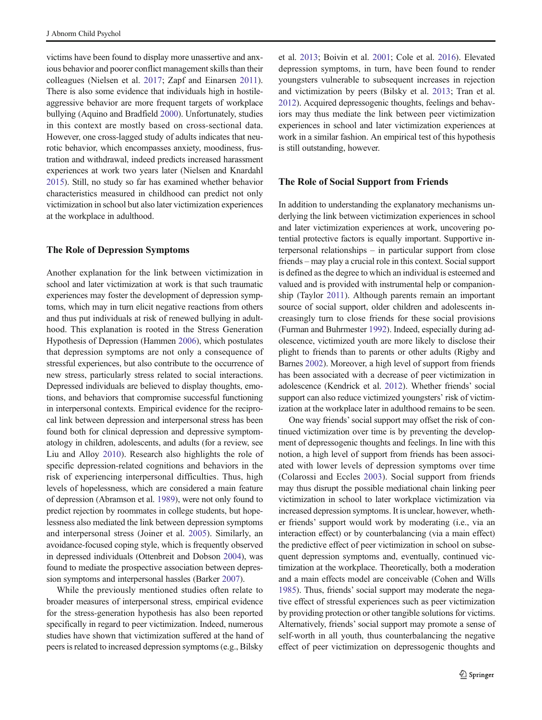victims have been found to display more unassertive and anxious behavior and poorer conflict management skills than their colleagues (Nielsen et al. 2017; Zapf and Einarsen 2011). There is also some evidence that individuals high in hostileaggressive behavior are more frequent targets of workplace bullying (Aquino and Bradfield 2000). Unfortunately, studies in this context are mostly based on cross-sectional data. However, one cross-lagged study of adults indicates that neurotic behavior, which encompasses anxiety, moodiness, frustration and withdrawal, indeed predicts increased harassment experiences at work two years later (Nielsen and Knardahl 2015). Still, no study so far has examined whether behavior characteristics measured in childhood can predict not only victimization in school but also later victimization experiences at the workplace in adulthood.

## The Role of Depression Symptoms

Another explanation for the link between victimization in school and later victimization at work is that such traumatic experiences may foster the development of depression symptoms, which may in turn elicit negative reactions from others and thus put individuals at risk of renewed bullying in adulthood. This explanation is rooted in the Stress Generation Hypothesis of Depression (Hammen 2006), which postulates that depression symptoms are not only a consequence of stressful experiences, but also contribute to the occurrence of new stress, particularly stress related to social interactions. Depressed individuals are believed to display thoughts, emotions, and behaviors that compromise successful functioning in interpersonal contexts. Empirical evidence for the reciprocal link between depression and interpersonal stress has been found both for clinical depression and depressive symptomatology in children, adolescents, and adults (for a review, see Liu and Alloy 2010). Research also highlights the role of specific depression-related cognitions and behaviors in the risk of experiencing interpersonal difficulties. Thus, high levels of hopelessness, which are considered a main feature of depression (Abramson et al. 1989), were not only found to predict rejection by roommates in college students, but hopelessness also mediated the link between depression symptoms and interpersonal stress (Joiner et al. 2005). Similarly, an avoidance-focused coping style, which is frequently observed in depressed individuals (Ottenbreit and Dobson 2004), was found to mediate the prospective association between depression symptoms and interpersonal hassles (Barker 2007).

While the previously mentioned studies often relate to broader measures of interpersonal stress, empirical evidence for the stress-generation hypothesis has also been reported specifically in regard to peer victimization. Indeed, numerous studies have shown that victimization suffered at the hand of peers is related to increased depression symptoms (e.g., Bilsky

et al. 2013; Boivin et al. 2001; Cole et al. 2016). Elevated depression symptoms, in turn, have been found to render youngsters vulnerable to subsequent increases in rejection and victimization by peers (Bilsky et al. 2013; Tran et al. 2012). Acquired depressogenic thoughts, feelings and behaviors may thus mediate the link between peer victimization experiences in school and later victimization experiences at work in a similar fashion. An empirical test of this hypothesis is still outstanding, however.

#### The Role of Social Support from Friends

In addition to understanding the explanatory mechanisms underlying the link between victimization experiences in school and later victimization experiences at work, uncovering potential protective factors is equally important. Supportive interpersonal relationships – in particular support from close friends – may play a crucial role in this context. Social support is defined as the degree to which an individual is esteemed and valued and is provided with instrumental help or companionship (Taylor 2011). Although parents remain an important source of social support, older children and adolescents increasingly turn to close friends for these social provisions (Furman and Buhrmester 1992). Indeed, especially during adolescence, victimized youth are more likely to disclose their plight to friends than to parents or other adults (Rigby and Barnes 2002). Moreover, a high level of support from friends has been associated with a decrease of peer victimization in adolescence (Kendrick et al. 2012). Whether friends' social support can also reduce victimized youngsters' risk of victimization at the workplace later in adulthood remains to be seen.

One way friends'social support may offset the risk of continued victimization over time is by preventing the development of depressogenic thoughts and feelings. In line with this notion, a high level of support from friends has been associated with lower levels of depression symptoms over time (Colarossi and Eccles 2003). Social support from friends may thus disrupt the possible mediational chain linking peer victimization in school to later workplace victimization via increased depression symptoms. It is unclear, however, whether friends' support would work by moderating (i.e., via an interaction effect) or by counterbalancing (via a main effect) the predictive effect of peer victimization in school on subsequent depression symptoms and, eventually, continued victimization at the workplace. Theoretically, both a moderation and a main effects model are conceivable (Cohen and Wills 1985). Thus, friends' social support may moderate the negative effect of stressful experiences such as peer victimization by providing protection or other tangible solutions for victims. Alternatively, friends' social support may promote a sense of self-worth in all youth, thus counterbalancing the negative effect of peer victimization on depressogenic thoughts and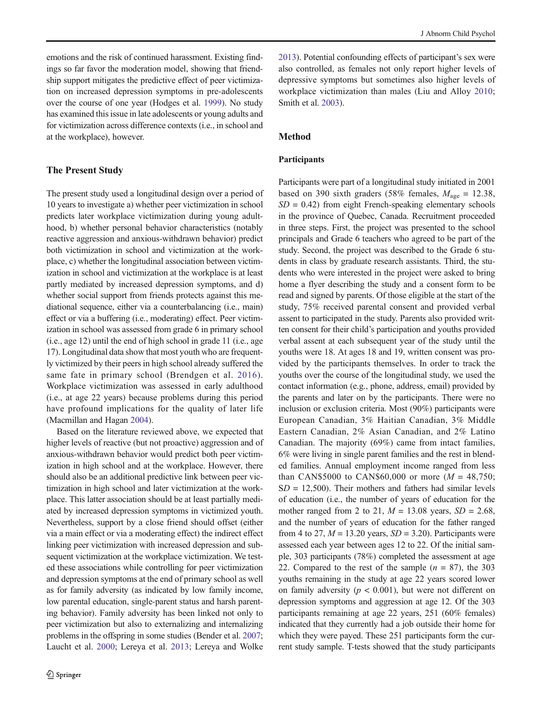emotions and the risk of continued harassment. Existing findings so far favor the moderation model, showing that friendship support mitigates the predictive effect of peer victimization on increased depression symptoms in pre-adolescents over the course of one year (Hodges et al. 1999). No study has examined this issue in late adolescents or young adults and for victimization across difference contexts (i.e., in school and at the workplace), however.

## The Present Study

The present study used a longitudinal design over a period of 10 years to investigate a) whether peer victimization in school predicts later workplace victimization during young adulthood, b) whether personal behavior characteristics (notably reactive aggression and anxious-withdrawn behavior) predict both victimization in school and victimization at the workplace, c) whether the longitudinal association between victimization in school and victimization at the workplace is at least partly mediated by increased depression symptoms, and d) whether social support from friends protects against this mediational sequence, either via a counterbalancing (i.e., main) effect or via a buffering (i.e., moderating) effect. Peer victimization in school was assessed from grade 6 in primary school (i.e., age 12) until the end of high school in grade 11 (i.e., age 17). Longitudinal data show that most youth who are frequently victimized by their peers in high school already suffered the same fate in primary school (Brendgen et al. 2016). Workplace victimization was assessed in early adulthood (i.e., at age 22 years) because problems during this period have profound implications for the quality of later life (Macmillan and Hagan 2004).

Based on the literature reviewed above, we expected that higher levels of reactive (but not proactive) aggression and of anxious-withdrawn behavior would predict both peer victimization in high school and at the workplace. However, there should also be an additional predictive link between peer victimization in high school and later victimization at the workplace. This latter association should be at least partially mediated by increased depression symptoms in victimized youth. Nevertheless, support by a close friend should offset (either via a main effect or via a moderating effect) the indirect effect linking peer victimization with increased depression and subsequent victimization at the workplace victimization. We tested these associations while controlling for peer victimization and depression symptoms at the end of primary school as well as for family adversity (as indicated by low family income, low parental education, single-parent status and harsh parenting behavior). Family adversity has been linked not only to peer victimization but also to externalizing and internalizing problems in the offspring in some studies (Bender et al. 2007; Laucht et al. 2000; Lereya et al. 2013; Lereya and Wolke

2013). Potential confounding effects of participant's sex were also controlled, as females not only report higher levels of depressive symptoms but sometimes also higher levels of workplace victimization than males (Liu and Alloy 2010; Smith et al. 2003).

#### Method

# Participants

Participants were part of a longitudinal study initiated in 2001 based on 390 sixth graders (58% females,  $M_{\text{age}} = 12.38$ ,  $SD = 0.42$ ) from eight French-speaking elementary schools in the province of Quebec, Canada. Recruitment proceeded in three steps. First, the project was presented to the school principals and Grade 6 teachers who agreed to be part of the study. Second, the project was described to the Grade 6 students in class by graduate research assistants. Third, the students who were interested in the project were asked to bring home a flyer describing the study and a consent form to be read and signed by parents. Of those eligible at the start of the study, 75% received parental consent and provided verbal assent to participated in the study. Parents also provided written consent for their child's participation and youths provided verbal assent at each subsequent year of the study until the youths were 18. At ages 18 and 19, written consent was provided by the participants themselves. In order to track the youths over the course of the longitudinal study, we used the contact information (e.g., phone, address, email) provided by the parents and later on by the participants. There were no inclusion or exclusion criteria. Most (90%) participants were European Canadian, 3% Haitian Canadian, 3% Middle Eastern Canadian, 2% Asian Canadian, and 2% Latino Canadian. The majority (69%) came from intact families, 6% were living in single parent families and the rest in blended families. Annual employment income ranged from less than CAN\$5000 to CAN\$60,000 or more  $(M = 48,750)$ ;  $SD = 12,500$ . Their mothers and fathers had similar levels of education (i.e., the number of years of education for the mother ranged from 2 to 21,  $M = 13.08$  years,  $SD = 2.68$ , and the number of years of education for the father ranged from 4 to 27,  $M = 13.20$  years,  $SD = 3.20$ ). Participants were assessed each year between ages 12 to 22. Of the initial sample, 303 participants (78%) completed the assessment at age 22. Compared to the rest of the sample  $(n = 87)$ , the 303 youths remaining in the study at age 22 years scored lower on family adversity ( $p < 0.001$ ), but were not different on depression symptoms and aggression at age 12. Of the 303 participants remaining at age 22 years, 251 (60% females) indicated that they currently had a job outside their home for which they were payed. These 251 participants form the current study sample. T-tests showed that the study participants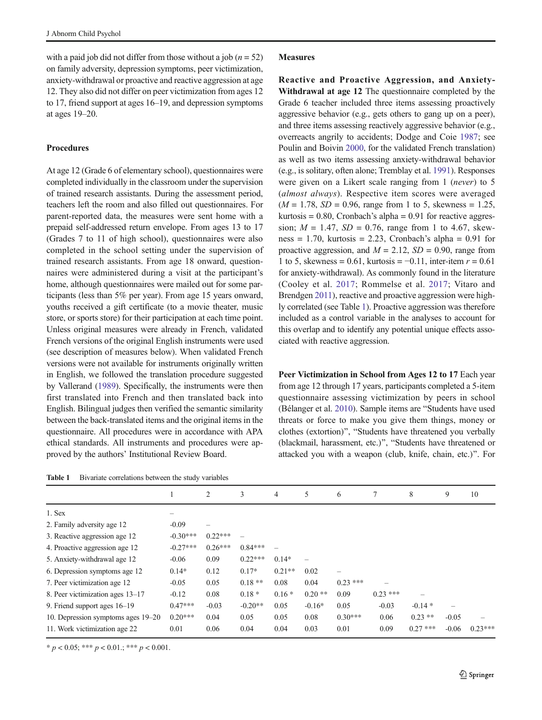with a paid job did not differ from those without a job ( $n = 52$ ) on family adversity, depression symptoms, peer victimization, anxiety-withdrawal or proactive and reactive aggression at age 12. They also did not differ on peer victimization from ages 12 to 17, friend support at ages 16–19, and depression symptoms at ages 19–20.

## Procedures

At age 12 (Grade 6 of elementary school), questionnaires were completed individually in the classroom under the supervision of trained research assistants. During the assessment period, teachers left the room and also filled out questionnaires. For parent-reported data, the measures were sent home with a prepaid self-addressed return envelope. From ages 13 to 17 (Grades 7 to 11 of high school), questionnaires were also completed in the school setting under the supervision of trained research assistants. From age 18 onward, questionnaires were administered during a visit at the participant's home, although questionnaires were mailed out for some participants (less than 5% per year). From age 15 years onward, youths received a gift certificate (to a movie theater, music store, or sports store) for their participation at each time point. Unless original measures were already in French, validated French versions of the original English instruments were used (see description of measures below). When validated French versions were not available for instruments originally written in English, we followed the translation procedure suggested by Vallerand (1989). Specifically, the instruments were then first translated into French and then translated back into English. Bilingual judges then verified the semantic similarity between the back-translated items and the original items in the questionnaire. All procedures were in accordance with APA ethical standards. All instruments and procedures were approved by the authors' Institutional Review Board.

| Bivariate correlations between the study variables<br><b>Table 1</b> |  |
|----------------------------------------------------------------------|--|
|----------------------------------------------------------------------|--|

#### Measures

Reactive and Proactive Aggression, and Anxiety-Withdrawal at age 12 The questionnaire completed by the Grade 6 teacher included three items assessing proactively aggressive behavior (e.g., gets others to gang up on a peer), and three items assessing reactively aggressive behavior (e.g., overreacts angrily to accidents; Dodge and Coie 1987; see Poulin and Boivin 2000, for the validated French translation) as well as two items assessing anxiety-withdrawal behavior (e.g., is solitary, often alone; Tremblay et al. 1991). Responses were given on a Likert scale ranging from 1 (never) to 5 (almost always). Respective item scores were averaged  $(M = 1.78, SD = 0.96, range from 1 to 5, skewness = 1.25,$ kurtosis =  $0.80$ , Cronbach's alpha =  $0.91$  for reactive aggression;  $M = 1.47$ ,  $SD = 0.76$ , range from 1 to 4.67, skewness = 1.70, kurtosis = 2.23, Cronbach's alpha =  $0.91$  for proactive aggression, and  $M = 2.12$ ,  $SD = 0.90$ , range from 1 to 5, skewness = 0.61, kurtosis =  $-0.11$ , inter-item  $r = 0.61$ for anxiety-withdrawal). As commonly found in the literature (Cooley et al. 2017; Rommelse et al. 2017; Vitaro and Brendgen 2011), reactive and proactive aggression were highly correlated (see Table 1). Proactive aggression was therefore included as a control variable in the analyses to account for this overlap and to identify any potential unique effects associated with reactive aggression.

Peer Victimization in School from Ages 12 to 17 Each year from age 12 through 17 years, participants completed a 5-item questionnaire assessing victimization by peers in school (Bélanger et al. 2010). Sample items are "Students have used threats or force to make you give them things, money or clothes (extortion)", "Students have threatened you verbally (blackmail, harassment, etc.)", "Students have threatened or attacked you with a weapon (club, knife, chain, etc.)^. For

|                                    |            | 2         | 3         | 4        | 5        | 6          |           | 8          | 9       | 10        |  |
|------------------------------------|------------|-----------|-----------|----------|----------|------------|-----------|------------|---------|-----------|--|
| 1. Sex                             |            |           |           |          |          |            |           |            |         |           |  |
| 2. Family adversity age 12         | $-0.09$    |           |           |          |          |            |           |            |         |           |  |
| 3. Reactive aggression age 12      | $-0.30***$ | $0.22***$ |           |          |          |            |           |            |         |           |  |
| 4. Proactive aggression age 12     | $-0.27***$ | $0.26***$ | $0.84***$ |          |          |            |           |            |         |           |  |
| 5. Anxiety-withdrawal age 12       | $-0.06$    | 0.09      | $0.22***$ | $0.14*$  |          |            |           |            |         |           |  |
| 6. Depression symptoms age 12      | $0.14*$    | 0.12      | $0.17*$   | $0.21**$ | 0.02     |            |           |            |         |           |  |
| 7. Peer victimization age 12       | $-0.05$    | 0.05      | $0.18**$  | 0.08     | 0.04     | $0.23$ *** |           |            |         |           |  |
| 8. Peer victimization ages 13–17   | $-0.12$    | 0.08      | $0.18*$   | $0.16*$  | $0.20**$ | 0.09       | $0.23***$ |            |         |           |  |
| 9. Friend support ages $16-19$     | $0.47***$  | $-0.03$   | $-0.20**$ | 0.05     | $-0.16*$ | 0.05       | $-0.03$   | $-0.14*$   | -       |           |  |
| 10. Depression symptoms ages 19–20 | $0.20***$  | 0.04      | 0.05      | 0.05     | 0.08     | $0.30***$  | 0.06      | $0.23$ **  | $-0.05$ |           |  |
| 11. Work victimization age 22      | 0.01       | 0.06      | 0.04      | 0.04     | 0.03     | 0.01       | 0.09      | $0.27$ *** | $-0.06$ | $0.23***$ |  |

 $* p < 0.05; ** p < 0.01; ** p < 0.001.$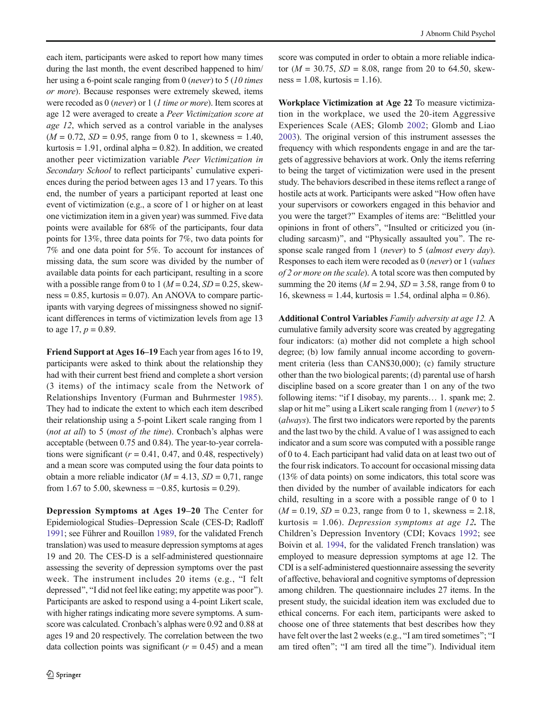each item, participants were asked to report how many times during the last month, the event described happened to him/ her using a 6-point scale ranging from 0 (never) to 5 (10 times or more). Because responses were extremely skewed, items were recoded as 0 (never) or 1 (1 time or more). Item scores at age 12 were averaged to create a Peer Victimization score at age 12, which served as a control variable in the analyses  $(M = 0.72, SD = 0.95, range from 0 to 1, skewness = 1.40,$ kurtosis  $= 1.91$ , ordinal alpha  $= 0.82$ ). In addition, we created another peer victimization variable Peer Victimization in Secondary School to reflect participants' cumulative experiences during the period between ages 13 and 17 years. To this end, the number of years a participant reported at least one event of victimization (e.g., a score of 1 or higher on at least one victimization item in a given year) was summed. Five data points were available for 68% of the participants, four data points for 13%, three data points for 7%, two data points for 7% and one data point for 5%. To account for instances of missing data, the sum score was divided by the number of available data points for each participant, resulting in a score with a possible range from 0 to 1 ( $M = 0.24$ ,  $SD = 0.25$ , skew $ness = 0.85$ , kurtosis = 0.07). An ANOVA to compare participants with varying degrees of missingness showed no significant differences in terms of victimization levels from age 13 to age 17,  $p = 0.89$ .

Friend Support at Ages 16–19 Each year from ages 16 to 19, participants were asked to think about the relationship they had with their current best friend and complete a short version (3 items) of the intimacy scale from the Network of Relationships Inventory (Furman and Buhrmester 1985). They had to indicate the extent to which each item described their relationship using a 5-point Likert scale ranging from 1 (not at all) to 5 (most of the time). Cronbach's alphas were acceptable (between 0.75 and 0.84). The year-to-year correlations were significant ( $r = 0.41$ , 0.47, and 0.48, respectively) and a mean score was computed using the four data points to obtain a more reliable indicator ( $M = 4.13$ ,  $SD = 0.71$ , range from 1.67 to 5.00, skewness =  $-0.85$ , kurtosis = 0.29).

Depression Symptoms at Ages 19–20 The Center for Epidemiological Studies–Depression Scale (CES-D; Radloff 1991; see Führer and Rouillon 1989, for the validated French translation) was used to measure depression symptoms at ages 19 and 20. The CES-D is a self-administered questionnaire assessing the severity of depression symptoms over the past week. The instrument includes 20 items (e.g., "I felt depressed", "I did not feel like eating; my appetite was poor"). Participants are asked to respond using a 4-point Likert scale, with higher ratings indicating more severe symptoms. A sumscore was calculated. Cronbach's alphas were 0.92 and 0.88 at ages 19 and 20 respectively. The correlation between the two data collection points was significant  $(r = 0.45)$  and a mean

score was computed in order to obtain a more reliable indicator ( $M = 30.75$ ,  $SD = 8.08$ , range from 20 to 64.50, skew $ness = 1.08$ , kurtosis = 1.16).

Workplace Victimization at Age 22 To measure victimization in the workplace, we used the 20-item Aggressive Experiences Scale (AES; Glomb 2002; Glomb and Liao 2003). The original version of this instrument assesses the frequency with which respondents engage in and are the targets of aggressive behaviors at work. Only the items referring to being the target of victimization were used in the present study. The behaviors described in these items reflect a range of hostile acts at work. Participants were asked "How often have your supervisors or coworkers engaged in this behavior and you were the target?" Examples of items are: "Belittled your opinions in front of others", "Insulted or criticized you (including sarcasm)", and "Physically assaulted you". The response scale ranged from 1 (never) to 5 (almost every day). Responses to each item were recoded as 0 (never) or 1 (values of 2 or more on the scale). A total score was then computed by summing the 20 items ( $M = 2.94$ ,  $SD = 3.58$ , range from 0 to 16, skewness = 1.44, kurtosis = 1.54, ordinal alpha =  $0.86$ ).

Additional Control Variables Family adversity at age 12. A cumulative family adversity score was created by aggregating four indicators: (a) mother did not complete a high school degree; (b) low family annual income according to government criteria (less than CAN\$30,000); (c) family structure other than the two biological parents; (d) parental use of harsh discipline based on a score greater than 1 on any of the two following items: "if I disobay, my parents... 1. spank me; 2. slap or hit me" using a Likert scale ranging from 1 (never) to 5 (always). The first two indicators were reported by the parents and the last two by the child. A value of 1 was assigned to each indicator and a sum score was computed with a possible range of 0 to 4. Each participant had valid data on at least two out of the four risk indicators. To account for occasional missing data (13% of data points) on some indicators, this total score was then divided by the number of available indicators for each child, resulting in a score with a possible range of 0 to 1  $(M = 0.19, SD = 0.23, range from 0 to 1, skewness = 2.18,$ kurtosis  $= 1.06$ ). Depression symptoms at age 12. The Children's Depression Inventory (CDI; Kovacs 1992; see Boivin et al. 1994, for the validated French translation) was employed to measure depression symptoms at age 12. The CDI is a self-administered questionnaire assessing the severity of affective, behavioral and cognitive symptoms of depression among children. The questionnaire includes 27 items. In the present study, the suicidal ideation item was excluded due to ethical concerns. For each item, participants were asked to choose one of three statements that best describes how they have felt over the last 2 weeks (e.g., "I am tired sometimes"; "I am tired often"; "I am tired all the time"). Individual item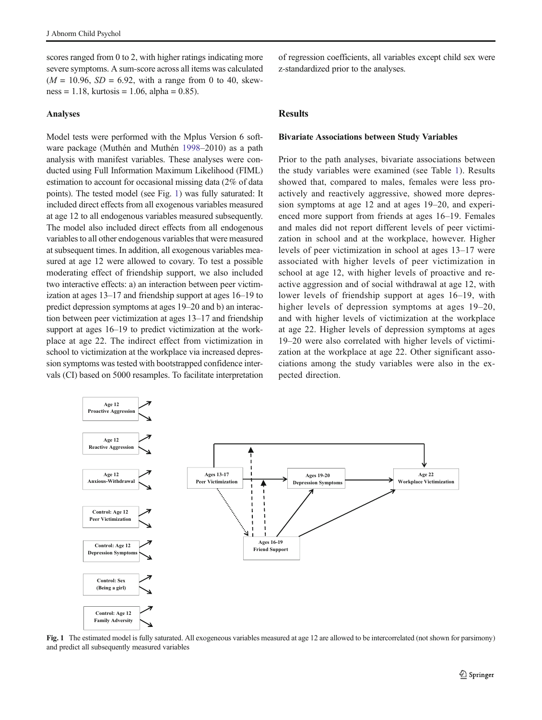scores ranged from 0 to 2, with higher ratings indicating more severe symptoms. A sum-score across all items was calculated  $(M = 10.96, SD = 6.92, with a range from 0 to 40, skew$  $ness = 1.18$ , kurtosis = 1.06, alpha = 0.85).

#### Analyses

Model tests were performed with the Mplus Version 6 software package (Muthén and Muthén 1998–2010) as a path analysis with manifest variables. These analyses were conducted using Full Information Maximum Likelihood (FIML) estimation to account for occasional missing data (2% of data points). The tested model (see Fig. 1) was fully saturated: It included direct effects from all exogenous variables measured at age 12 to all endogenous variables measured subsequently. The model also included direct effects from all endogenous variables to all other endogenous variables that were measured at subsequent times. In addition, all exogenous variables measured at age 12 were allowed to covary. To test a possible moderating effect of friendship support, we also included two interactive effects: a) an interaction between peer victimization at ages 13–17 and friendship support at ages 16–19 to predict depression symptoms at ages 19–20 and b) an interaction between peer victimization at ages 13–17 and friendship support at ages 16–19 to predict victimization at the workplace at age 22. The indirect effect from victimization in school to victimization at the workplace via increased depression symptoms was tested with bootstrapped confidence intervals (CI) based on 5000 resamples. To facilitate interpretation of regression coefficients, all variables except child sex were z-standardized prior to the analyses.

# **Results**

#### Bivariate Associations between Study Variables

Prior to the path analyses, bivariate associations between the study variables were examined (see Table 1). Results showed that, compared to males, females were less proactively and reactively aggressive, showed more depression symptoms at age 12 and at ages 19–20, and experienced more support from friends at ages 16–19. Females and males did not report different levels of peer victimization in school and at the workplace, however. Higher levels of peer victimization in school at ages 13–17 were associated with higher levels of peer victimization in school at age 12, with higher levels of proactive and reactive aggression and of social withdrawal at age 12, with lower levels of friendship support at ages 16–19, with higher levels of depression symptoms at ages  $19-20$ , and with higher levels of victimization at the workplace at age 22. Higher levels of depression symptoms at ages 19–20 were also correlated with higher levels of victimization at the workplace at age 22. Other significant associations among the study variables were also in the expected direction.



Fig. 1 The estimated model is fully saturated. All exogeneous variables measured at age 12 are allowed to be intercorrelated (not shown for parsimony) and predict all subsequently measured variables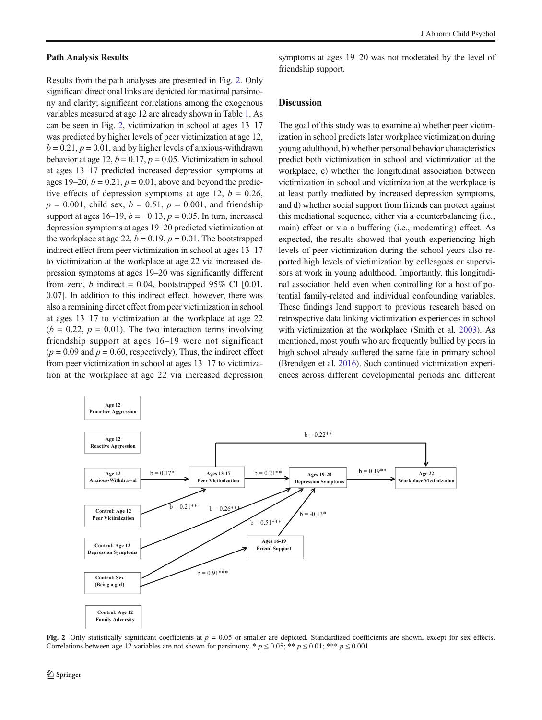#### Path Analysis Results

Results from the path analyses are presented in Fig. 2. Only significant directional links are depicted for maximal parsimony and clarity; significant correlations among the exogenous variables measured at age 12 are already shown in Table 1. As can be seen in Fig. 2, victimization in school at ages 13–17 was predicted by higher levels of peer victimization at age 12,  $b = 0.21$ ,  $p = 0.01$ , and by higher levels of anxious-withdrawn behavior at age 12,  $b = 0.17$ ,  $p = 0.05$ . Victimization in school at ages 13–17 predicted increased depression symptoms at ages 19–20,  $b = 0.21$ ,  $p = 0.01$ , above and beyond the predictive effects of depression symptoms at age 12,  $b = 0.26$ ,  $p = 0.001$ , child sex,  $b = 0.51$ ,  $p = 0.001$ , and friendship support at ages 16–19,  $b = -0.13$ ,  $p = 0.05$ . In turn, increased depression symptoms at ages 19–20 predicted victimization at the workplace at age 22,  $b = 0.19$ ,  $p = 0.01$ . The bootstrapped indirect effect from peer victimization in school at ages 13–17 to victimization at the workplace at age 22 via increased depression symptoms at ages 19–20 was significantly different from zero, b indirect = 0.04, bootstrapped 95% CI  $[0.01]$ , 0.07]. In addition to this indirect effect, however, there was also a remaining direct effect from peer victimization in school at ages 13–17 to victimization at the workplace at age 22  $(b = 0.22, p = 0.01)$ . The two interaction terms involving friendship support at ages 16–19 were not significant  $(p = 0.09$  and  $p = 0.60$ , respectively). Thus, the indirect effect from peer victimization in school at ages 13–17 to victimization at the workplace at age 22 via increased depression symptoms at ages 19–20 was not moderated by the level of friendship support.

## **Discussion**

The goal of this study was to examine a) whether peer victimization in school predicts later workplace victimization during young adulthood, b) whether personal behavior characteristics predict both victimization in school and victimization at the workplace, c) whether the longitudinal association between victimization in school and victimization at the workplace is at least partly mediated by increased depression symptoms, and d) whether social support from friends can protect against this mediational sequence, either via a counterbalancing (i.e., main) effect or via a buffering (i.e., moderating) effect. As expected, the results showed that youth experiencing high levels of peer victimization during the school years also reported high levels of victimization by colleagues or supervisors at work in young adulthood. Importantly, this longitudinal association held even when controlling for a host of potential family-related and individual confounding variables. These findings lend support to previous research based on retrospective data linking victimization experiences in school with victimization at the workplace (Smith et al. 2003). As mentioned, most youth who are frequently bullied by peers in high school already suffered the same fate in primary school (Brendgen et al. 2016). Such continued victimization experiences across different developmental periods and different



Fig. 2 Only statistically significant coefficients at  $p = 0.05$  or smaller are depicted. Standardized coefficients are shown, except for sex effects. Correlations between age 12 variables are not shown for parsimony. \*  $p \le 0.05$ ; \*\*  $p \le 0.01$ ; \*\*\*  $p \le 0.001$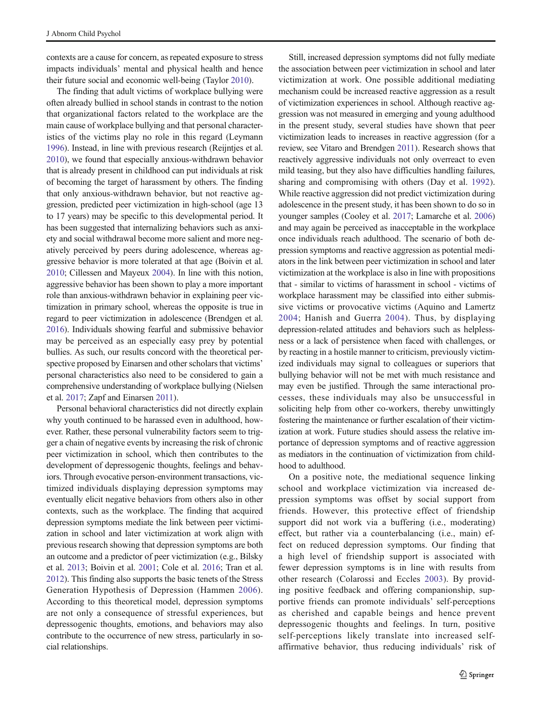contexts are a cause for concern, as repeated exposure to stress impacts individuals' mental and physical health and hence their future social and economic well-being (Taylor 2010).

The finding that adult victims of workplace bullying were often already bullied in school stands in contrast to the notion that organizational factors related to the workplace are the main cause of workplace bullying and that personal characteristics of the victims play no role in this regard (Leymann 1996). Instead, in line with previous research (Reijntjes et al. 2010), we found that especially anxious-withdrawn behavior that is already present in childhood can put individuals at risk of becoming the target of harassment by others. The finding that only anxious-withdrawn behavior, but not reactive aggression, predicted peer victimization in high-school (age 13 to 17 years) may be specific to this developmental period. It has been suggested that internalizing behaviors such as anxiety and social withdrawal become more salient and more negatively perceived by peers during adolescence, whereas aggressive behavior is more tolerated at that age (Boivin et al. 2010; Cillessen and Mayeux 2004). In line with this notion, aggressive behavior has been shown to play a more important role than anxious-withdrawn behavior in explaining peer victimization in primary school, whereas the opposite is true in regard to peer victimization in adolescence (Brendgen et al. 2016). Individuals showing fearful and submissive behavior may be perceived as an especially easy prey by potential bullies. As such, our results concord with the theoretical perspective proposed by Einarsen and other scholars that victims' personal characteristics also need to be considered to gain a comprehensive understanding of workplace bullying (Nielsen et al. 2017; Zapf and Einarsen 2011).

Personal behavioral characteristics did not directly explain why youth continued to be harassed even in adulthood, however. Rather, these personal vulnerability factors seem to trigger a chain of negative events by increasing the risk of chronic peer victimization in school, which then contributes to the development of depressogenic thoughts, feelings and behaviors. Through evocative person-environment transactions, victimized individuals displaying depression symptoms may eventually elicit negative behaviors from others also in other contexts, such as the workplace. The finding that acquired depression symptoms mediate the link between peer victimization in school and later victimization at work align with previous research showing that depression symptoms are both an outcome and a predictor of peer victimization (e.g., Bilsky et al. 2013; Boivin et al. 2001; Cole et al. 2016; Tran et al. 2012). This finding also supports the basic tenets of the Stress Generation Hypothesis of Depression (Hammen 2006). According to this theoretical model, depression symptoms are not only a consequence of stressful experiences, but depressogenic thoughts, emotions, and behaviors may also contribute to the occurrence of new stress, particularly in social relationships.

Still, increased depression symptoms did not fully mediate the association between peer victimization in school and later victimization at work. One possible additional mediating mechanism could be increased reactive aggression as a result of victimization experiences in school. Although reactive aggression was not measured in emerging and young adulthood in the present study, several studies have shown that peer victimization leads to increases in reactive aggression (for a review, see Vitaro and Brendgen 2011). Research shows that reactively aggressive individuals not only overreact to even mild teasing, but they also have difficulties handling failures, sharing and compromising with others (Day et al. 1992). While reactive aggression did not predict victimization during adolescence in the present study, it has been shown to do so in younger samples (Cooley et al. 2017; Lamarche et al. 2006) and may again be perceived as inacceptable in the workplace once individuals reach adulthood. The scenario of both depression symptoms and reactive aggression as potential mediators in the link between peer victimization in school and later victimization at the workplace is also in line with propositions that - similar to victims of harassment in school - victims of workplace harassment may be classified into either submissive victims or provocative victims (Aquino and Lamertz 2004; Hanish and Guerra 2004). Thus, by displaying depression-related attitudes and behaviors such as helplessness or a lack of persistence when faced with challenges, or by reacting in a hostile manner to criticism, previously victimized individuals may signal to colleagues or superiors that bullying behavior will not be met with much resistance and may even be justified. Through the same interactional processes, these individuals may also be unsuccessful in soliciting help from other co-workers, thereby unwittingly fostering the maintenance or further escalation of their victimization at work. Future studies should assess the relative importance of depression symptoms and of reactive aggression as mediators in the continuation of victimization from childhood to adulthood.

On a positive note, the mediational sequence linking school and workplace victimization via increased depression symptoms was offset by social support from friends. However, this protective effect of friendship support did not work via a buffering (i.e., moderating) effect, but rather via a counterbalancing (i.e., main) effect on reduced depression symptoms. Our finding that a high level of friendship support is associated with fewer depression symptoms is in line with results from other research (Colarossi and Eccles 2003). By providing positive feedback and offering companionship, supportive friends can promote individuals' self-perceptions as cherished and capable beings and hence prevent depressogenic thoughts and feelings. In turn, positive self-perceptions likely translate into increased selfaffirmative behavior, thus reducing individuals' risk of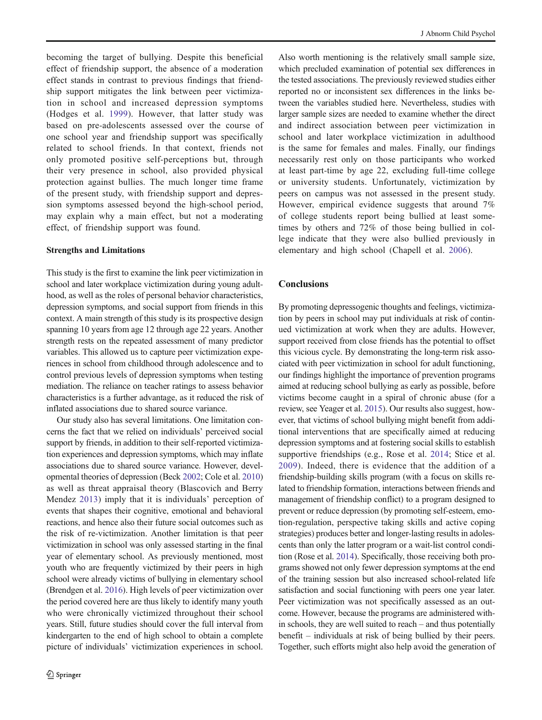becoming the target of bullying. Despite this beneficial effect of friendship support, the absence of a moderation effect stands in contrast to previous findings that friendship support mitigates the link between peer victimization in school and increased depression symptoms (Hodges et al. 1999). However, that latter study was based on pre-adolescents assessed over the course of one school year and friendship support was specifically related to school friends. In that context, friends not only promoted positive self-perceptions but, through their very presence in school, also provided physical protection against bullies. The much longer time frame of the present study, with friendship support and depression symptoms assessed beyond the high-school period, may explain why a main effect, but not a moderating effect, of friendship support was found.

#### Strengths and Limitations

This study is the first to examine the link peer victimization in school and later workplace victimization during young adulthood, as well as the roles of personal behavior characteristics, depression symptoms, and social support from friends in this context. A main strength of this study is its prospective design spanning 10 years from age 12 through age 22 years. Another strength rests on the repeated assessment of many predictor variables. This allowed us to capture peer victimization experiences in school from childhood through adolescence and to control previous levels of depression symptoms when testing mediation. The reliance on teacher ratings to assess behavior characteristics is a further advantage, as it reduced the risk of inflated associations due to shared source variance.

Our study also has several limitations. One limitation concerns the fact that we relied on individuals' perceived social support by friends, in addition to their self-reported victimization experiences and depression symptoms, which may inflate associations due to shared source variance. However, developmental theories of depression (Beck 2002; Cole et al. 2010) as well as threat appraisal theory (Blascovich and Berry Mendez 2013) imply that it is individuals' perception of events that shapes their cognitive, emotional and behavioral reactions, and hence also their future social outcomes such as the risk of re-victimization. Another limitation is that peer victimization in school was only assessed starting in the final year of elementary school. As previously mentioned, most youth who are frequently victimized by their peers in high school were already victims of bullying in elementary school (Brendgen et al. 2016). High levels of peer victimization over the period covered here are thus likely to identify many youth who were chronically victimized throughout their school years. Still, future studies should cover the full interval from kindergarten to the end of high school to obtain a complete picture of individuals' victimization experiences in school.

Also worth mentioning is the relatively small sample size, which precluded examination of potential sex differences in the tested associations. The previously reviewed studies either reported no or inconsistent sex differences in the links between the variables studied here. Nevertheless, studies with larger sample sizes are needed to examine whether the direct and indirect association between peer victimization in school and later workplace victimization in adulthood is the same for females and males. Finally, our findings necessarily rest only on those participants who worked at least part-time by age 22, excluding full-time college or university students. Unfortunately, victimization by peers on campus was not assessed in the present study. However, empirical evidence suggests that around 7% of college students report being bullied at least sometimes by others and 72% of those being bullied in college indicate that they were also bullied previously in elementary and high school (Chapell et al. 2006).

# **Conclusions**

By promoting depressogenic thoughts and feelings, victimization by peers in school may put individuals at risk of continued victimization at work when they are adults. However, support received from close friends has the potential to offset this vicious cycle. By demonstrating the long-term risk associated with peer victimization in school for adult functioning, our findings highlight the importance of prevention programs aimed at reducing school bullying as early as possible, before victims become caught in a spiral of chronic abuse (for a review, see Yeager et al. 2015). Our results also suggest, however, that victims of school bullying might benefit from additional interventions that are specifically aimed at reducing depression symptoms and at fostering social skills to establish supportive friendships (e.g., Rose et al. 2014; Stice et al. 2009). Indeed, there is evidence that the addition of a friendship-building skills program (with a focus on skills related to friendship formation, interactions between friends and management of friendship conflict) to a program designed to prevent or reduce depression (by promoting self-esteem, emotion-regulation, perspective taking skills and active coping strategies) produces better and longer-lasting results in adolescents than only the latter program or a wait-list control condition (Rose et al. 2014). Specifically, those receiving both programs showed not only fewer depression symptoms at the end of the training session but also increased school-related life satisfaction and social functioning with peers one year later. Peer victimization was not specifically assessed as an outcome. However, because the programs are administered within schools, they are well suited to reach – and thus potentially benefit – individuals at risk of being bullied by their peers. Together, such efforts might also help avoid the generation of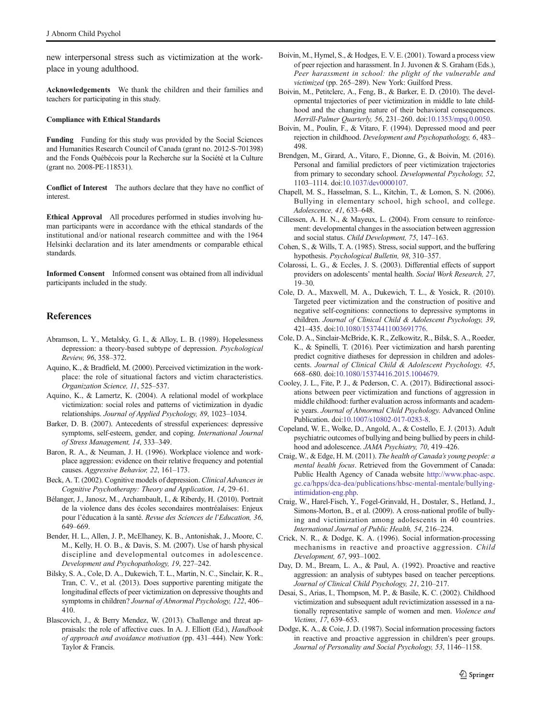new interpersonal stress such as victimization at the workplace in young adulthood.

Acknowledgements We thank the children and their families and teachers for participating in this study.

#### Compliance with Ethical Standards

Funding Funding for this study was provided by the Social Sciences and Humanities Research Council of Canada (grant no. 2012-S-701398) and the Fonds Québécois pour la Recherche sur la Société et la Culture (grant no. 2008-PE-118531).

Conflict of Interest The authors declare that they have no conflict of **interest** 

Ethical Approval All procedures performed in studies involving human participants were in accordance with the ethical standards of the institutional and/or national research committee and with the 1964 Helsinki declaration and its later amendments or comparable ethical standards.

Informed Consent Informed consent was obtained from all individual participants included in the study.

#### References

- Abramson, L. Y., Metalsky, G. I., & Alloy, L. B. (1989). Hopelessness depression: a theory-based subtype of depression. Psychological Review, 96, 358–372.
- Aquino, K., & Bradfield, M. (2000). Perceived victimization in the workplace: the role of situational factors and victim characteristics. Organization Science, 11, 525–537.
- Aquino, K., & Lamertz, K. (2004). A relational model of workplace victimization: social roles and patterns of victimization in dyadic relationships. Journal of Applied Psychology, 89, 1023–1034.
- Barker, D. B. (2007). Antecedents of stressful experiences: depressive symptoms, self-esteem, gender, and coping. International Journal of Stress Management, 14, 333–349.
- Baron, R. A., & Neuman, J. H. (1996). Workplace violence and workplace aggression: evidence on their relative frequency and potential causes. Aggressive Behavior, 22, 161–173.
- Beck, A. T. (2002). Cognitive models of depression. Clinical Advances in Cognitive Psychotherapy: Theory and Application, 14, 29–61.
- Bélanger, J., Janosz, M., Archambault, I., & Riberdy, H. (2010). Portrait de la violence dans des écoles secondaires montréalaises: Enjeux pour l'éducation à la santé. Revue des Sciences de l'Education, 36, 649–669.
- Bender, H. L., Allen, J. P., McElhaney, K. B., Antonishak, J., Moore, C. M., Kelly, H. O. B., & Davis, S. M. (2007). Use of harsh physical discipline and developmental outcomes in adolescence. Development and Psychopathology, 19, 227–242.
- Bilsky, S. A., Cole, D. A., Dukewich, T. L., Martin, N. C., Sinclair, K. R., Tran, C. V., et al. (2013). Does supportive parenting mitigate the longitudinal effects of peer victimization on depressive thoughts and symptoms in children? Journal of Abnormal Psychology, 122, 406-410.
- Blascovich, J., & Berry Mendez, W. (2013). Challenge and threat appraisals: the role of affective cues. In A. J. Elliott (Ed.), Handbook of approach and avoidance motivation (pp. 431–444). New York: Taylor & Francis.
- Boivin, M., Hymel, S., & Hodges, E. V. E. (2001). Toward a process view of peer rejection and harassment. In J. Juvonen & S. Graham (Eds.), Peer harassment in school: the plight of the vulnerable and victimized (pp. 265–289). New York: Guilford Press.
- Boivin, M., Petitclerc, A., Feng, B., & Barker, E. D. (2010). The developmental trajectories of peer victimization in middle to late childhood and the changing nature of their behavioral consequences. Merrill-Palmer Quarterly, 56, 231–260. doi:10.1353/mpq.0.0050.
- Boivin, M., Poulin, F., & Vitaro, F. (1994). Depressed mood and peer rejection in childhood. Development and Psychopathology, 6, 483– 498.
- Brendgen, M., Girard, A., Vitaro, F., Dionne, G., & Boivin, M. (2016). Personal and familial predictors of peer victimization trajectories from primary to secondary school. Developmental Psychology, 52, 1103–1114. doi:10.1037/dev0000107.
- Chapell, M. S., Hasselman, S. L., Kitchin, T., & Lomon, S. N. (2006). Bullying in elementary school, high school, and college. Adolescence, 41, 633–648.
- Cillessen, A. H. N., & Mayeux, L. (2004). From censure to reinforcement: developmental changes in the association between aggression and social status. Child Development, 75, 147–163.
- Cohen, S., & Wills, T. A. (1985). Stress, social support, and the buffering hypothesis. Psychological Bulletin, 98, 310–357.
- Colarossi, L. G., & Eccles, J. S. (2003). Differential effects of support providers on adolescents' mental health. Social Work Research, 27, 19–30.
- Cole, D. A., Maxwell, M. A., Dukewich, T. L., & Yosick, R. (2010). Targeted peer victimization and the construction of positive and negative self-cognitions: connections to depressive symptoms in children. Journal of Clinical Child & Adolescent Psychology, 39, 421–435. doi:10.1080/15374411003691776.
- Cole, D. A., Sinclair-McBride, K. R., Zelkowitz, R., Bilsk, S. A., Roeder, K., & Spinelli, T. (2016). Peer victimization and harsh parenting predict cognitive diatheses for depression in children and adolescents. Journal of Clinical Child & Adolescent Psychology, 45, 668–680. doi:10.1080/15374416.2015.1004679.
- Cooley, J. L., Fite, P. J., & Pederson, C. A. (2017). Bidirectional associations between peer victimization and functions of aggression in middle childhood: further evaluation across informants and academic years. Journal of Abnormal Child Psychology. Advanced Online Publication. doi:10.1007/s10802-017-0283-8.
- Copeland, W. E., Wolke, D., Angold, A., & Costello, E. J. (2013). Adult psychiatric outcomes of bullying and being bullied by peers in childhood and adolescence. JAMA Psychiatry, 70, 419–426.
- Craig, W., & Edge, H. M. (2011). The health of Canada's young people: a mental health focus. Retrieved from the Government of Canada: Public Health Agency of Canada website http://www.phac-aspc. gc.ca/hpps/dca-dea/publications/hbsc-mental-mentale/bullyingintimidation-eng.php.
- Craig, W., Harel-Fisch, Y., Fogel-Grinvald, H., Dostaler, S., Hetland, J., Simons-Morton, B., et al. (2009). A cross-national profile of bullying and victimization among adolescents in 40 countries. International Journal of Public Health, 54, 216–224.
- Crick, N. R., & Dodge, K. A. (1996). Social information-processing mechanisms in reactive and proactive aggression. Child Development, 67, 993–1002.
- Day, D. M., Bream, L. A., & Paul, A. (1992). Proactive and reactive aggression: an analysis of subtypes based on teacher perceptions. Journal of Clinical Child Psychology, 21, 210–217.
- Desai, S., Arias, I., Thompson, M. P., & Basile, K. C. (2002). Childhood victimization and subsequent adult revictimization assessed in a nationally representative sample of women and men. Violence and Victims, 17, 639–653.
- Dodge, K. A., & Coie, J. D. (1987). Social information processing factors in reactive and proactive aggression in children's peer groups. Journal of Personality and Social Psychology, 53, 1146–1158.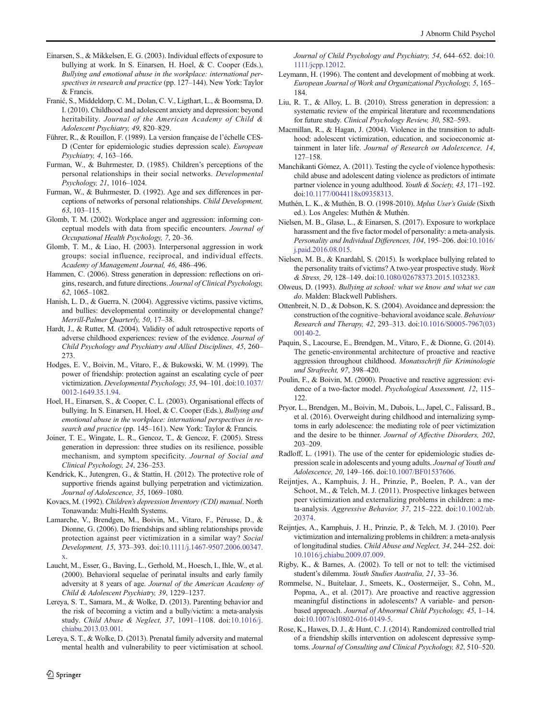- Einarsen, S., & Mikkelsen, E. G. (2003). Individual effects of exposure to bullying at work. In S. Einarsen, H. Hoel, & C. Cooper (Eds.), Bullying and emotional abuse in the workplace: international perspectives in research and practice (pp. 127–144). New York: Taylor & Francis.
- Franić, S., Middeldorp, C. M., Dolan, C. V., Ligthart, L., & Boomsma, D. I. (2010). Childhood and adolescent anxiety and depression: beyond heritability. Journal of the American Academy of Child & Adolescent Psychiatry, 49, 820–829.
- Führer, R., & Rouillon, F. (1989). La version française de l'échelle CES-D (Center for epidemiologic studies depression scale). European Psychiatry, 4, 163–166.
- Furman, W., & Buhrmester, D. (1985). Children's perceptions of the personal relationships in their social networks. Developmental Psychology, 21, 1016–1024.
- Furman, W., & Buhrmester, D. (1992). Age and sex differences in perceptions of networks of personal relationships. Child Development, 63, 103–115.
- Glomb, T. M. (2002). Workplace anger and aggression: informing conceptual models with data from specific encounters. Journal of Occupational Health Psychology, 7, 20–36.
- Glomb, T. M., & Liao, H. (2003). Interpersonal aggression in work groups: social influence, reciprocal, and individual effects. Academy of Management Journal, 46, 486–496.
- Hammen, C. (2006). Stress generation in depression: reflections on origins, research, and future directions. Journal of Clinical Psychology, 62, 1065–1082.
- Hanish, L. D., & Guerra, N. (2004). Aggressive victims, passive victims, and bullies: developmental continuity or developmental change? Merrill-Palmer Quarterly, 50, 17–38.
- Hardt, J., & Rutter, M. (2004). Validity of adult retrospective reports of adverse childhood experiences: review of the evidence. Journal of Child Psychology and Psychiatry and Allied Disciplines, 45, 260– 273.
- Hodges, E. V., Boivin, M., Vitaro, F., & Bukowski, W. M. (1999). The power of friendship: protection against an escalating cycle of peer victimization. Developmental Psychology, 35, 94–101. doi:10.1037/ 0012-1649.35.1.94.
- Hoel, H., Einarsen, S., & Cooper, C. L. (2003). Organisational effects of bullying. In S. Einarsen, H. Hoel, & C. Cooper (Eds.), Bullying and emotional abuse in the workplace: international perspectives in research and practice (pp. 145-161). New York: Taylor & Francis.
- Joiner, T. E., Wingate, L. R., Gencoz, T., & Gencoz, F. (2005). Stress generation in depression: three studies on its resilience, possible mechanism, and symptom specificity. Journal of Social and Clinical Psychology, 24, 236–253.
- Kendrick, K., Jutengren, G., & Stattin, H. (2012). The protective role of supportive friends against bullying perpetration and victimization. Journal of Adolescence, 35, 1069–1080.
- Kovacs, M. (1992). Children's depression Inventory (CDI) manual. North Tonawanda: Multi-Health Systems.
- Lamarche, V., Brendgen, M., Boivin, M., Vitaro, F., Pérusse, D., & Dionne, G. (2006). Do friendships and sibling relationships provide protection against peer victimization in a similar way? Social Development, 15, 373–393. doi:10.1111/j.1467-9507.2006.00347. x.
- Laucht, M., Esser, G., Baving, L., Gerhold, M., Hoesch, I., Ihle, W., et al. (2000). Behavioral sequelae of perinatal insults and early family adversity at 8 years of age. Journal of the American Academy of Child & Adolescent Psychiatry, 39, 1229–1237.
- Lereya, S. T., Samara, M., & Wolke, D. (2013). Parenting behavior and the risk of becoming a victim and a bully/victim: a meta-analysis study. Child Abuse & Neglect, 37, 1091–1108. doi:10.1016/j. chiabu.2013.03.001.
- Lereya, S. T., & Wolke, D. (2013). Prenatal family adversity and maternal mental health and vulnerability to peer victimisation at school.

 $\hat{Z}$  Springer

Journal of Child Psychology and Psychiatry, 54, 644–652. doi:10. 1111/jcpp.12012.

- Leymann, H. (1996). The content and development of mobbing at work. European Journal of Work and Organizational Psychology, 5, 165– 184.
- Liu, R. T., & Alloy, L. B. (2010). Stress generation in depression: a systematic review of the empirical literature and recommendations for future study. Clinical Psychology Review, 30, 582–593.
- Macmillan, R., & Hagan, J. (2004). Violence in the transition to adulthood: adolescent victimization, education, and socioeconomic attainment in later life. Journal of Research on Adolescence, 14, 127–158.
- Manchikanti Gómez, A. (2011). Testing the cycle of violence hypothesis: child abuse and adolescent dating violence as predictors of intimate partner violence in young adulthood. Youth & Society, 43, 171–192. doi:10.1177/0044118x09358313.
- Muthén, L. K., & Muthén, B. O. (1998-2010). Mplus User's Guide (Sixth ed.). Los Angeles: Muthén & Muthén.
- Nielsen, M. B., Glasø, L., & Einarsen, S. (2017). Exposure to workplace harassment and the five factor model of personality: a meta-analysis. Personality and Individual Differences, 104, 195–206. doi:10.1016/ j.paid.2016.08.015.
- Nielsen, M. B., & Knardahl, S. (2015). Is workplace bullying related to the personality traits of victims? A two-year prospective study. Work & Stress, 29, 128–149. doi:10.1080/02678373.2015.1032383.
- Olweus, D. (1993). Bullying at school: what we know and what we can do. Malden: Blackwell Publishers.
- Ottenbreit, N. D., & Dobson, K. S. (2004). Avoidance and depression: the construction of the cognitive–behavioral avoidance scale. Behaviour Research and Therapy, 42, 293–313. doi:10.1016/S0005-7967(03) 00140-2.
- Paquin, S., Lacourse, E., Brendgen, M., Vitaro, F., & Dionne, G. (2014). The genetic-environmental architecture of proactive and reactive aggression throughout childhood. Monatsschrift für Kriminologie und Strafrecht, 97, 398–420.
- Poulin, F., & Boivin, M. (2000). Proactive and reactive aggression: evidence of a two-factor model. Psychological Assessment, 12, 115– 122.
- Pryor, L., Brendgen, M., Boivin, M., Dubois, L., Japel, C., Falissard, B., et al. (2016). Overweight during childhood and internalizing symptoms in early adolescence: the mediating role of peer victimization and the desire to be thinner. Journal of Affective Disorders, 202, 203–209.
- Radloff, L. (1991). The use of the center for epidemiologic studies depression scale in adolescents and young adults. Journal of Youth and Adolescence, 20, 149–166. doi:10.1007/BF01537606.
- Reijntjes, A., Kamphuis, J. H., Prinzie, P., Boelen, P. A., van der Schoot, M., & Telch, M. J. (2011). Prospective linkages between peer victimization and externalizing problems in children: a meta-analysis. Aggressive Behavior, 37, 215–222. doi:10.1002/ab. 20374.
- Reijntjes, A., Kamphuis, J. H., Prinzie, P., & Telch, M. J. (2010). Peer victimization and internalizing problems in children: a meta-analysis of longitudinal studies. Child Abuse and Neglect, 34, 244–252. doi: 10.1016/j.chiabu.2009.07.009.
- Rigby, K., & Barnes, A. (2002). To tell or not to tell: the victimised student's dilemma. Youth Studies Australia, 21, 33–36.
- Rommelse, N., Buitelaar, J., Smeets, K., Oostermeijer, S., Cohn, M., Popma, A., et al. (2017). Are proactive and reactive aggression meaningful distinctions in adolescents? A variable- and personbased approach. Journal of Abnormal Child Psychology, 45, 1–14. doi:10.1007/s10802-016-0149-5.
- Rose, K., Hawes, D. J., & Hunt, C. J. (2014). Randomized controlled trial of a friendship skills intervention on adolescent depressive symptoms. Journal of Consulting and Clinical Psychology, 82, 510–520.